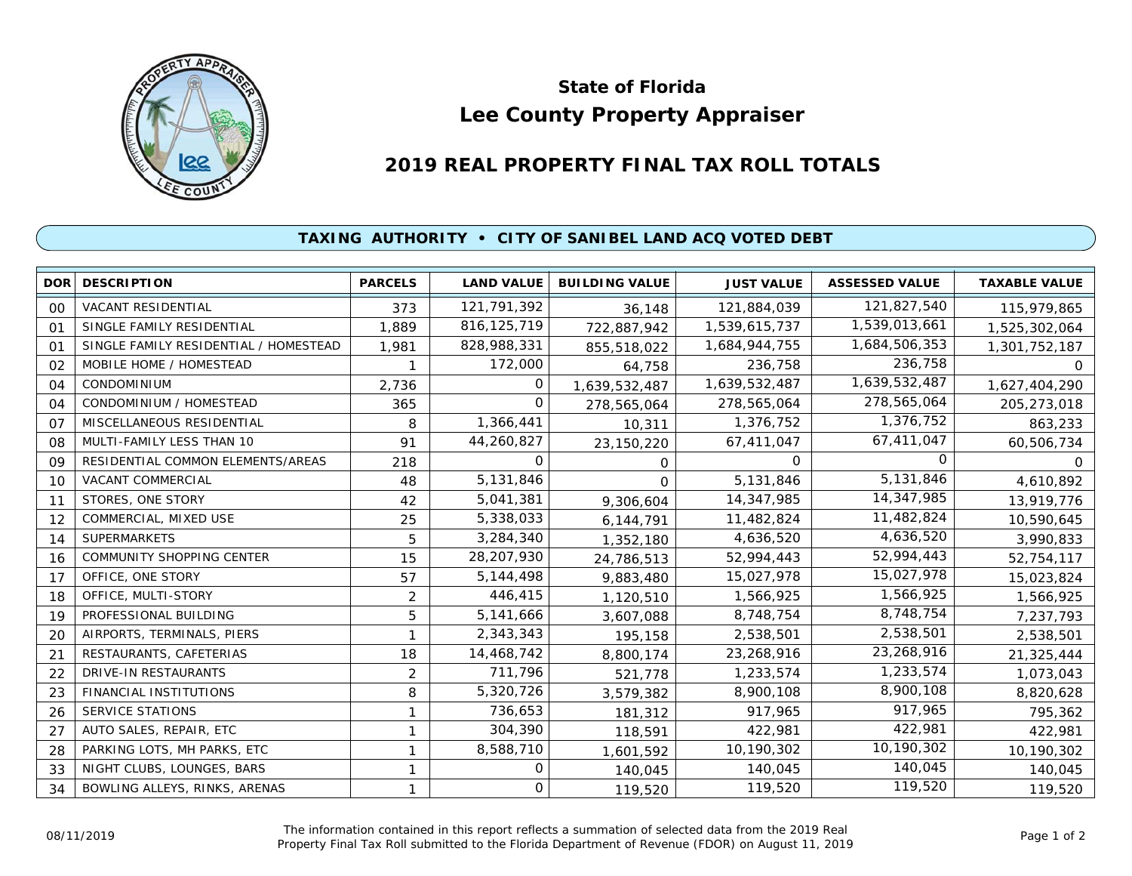

## **Lee County Property Appraiser State of Florida**

## **2019 REAL PROPERTY FINAL TAX ROLL TOTALS**

## **TAXING AUTHORITY • CITY OF SANIBEL LAND ACQ VOTED DEBT**

|            | <b>DOR DESCRIPTION</b>                | <b>PARCELS</b> | <b>LAND VALUE</b> | <b>BUILDING VALUE</b> | <b>JUST VALUE</b> | <b>ASSESSED VALUE</b> | <b>TAXABLE VALUE</b> |
|------------|---------------------------------------|----------------|-------------------|-----------------------|-------------------|-----------------------|----------------------|
| 00         | VACANT RESIDENTIAL                    | 373            | 121,791,392       | 36,148                | 121,884,039       | 121,827,540           | 115,979,865          |
| $^{\circ}$ | SINGLE FAMILY RESIDENTIAL             | 1,889          | 816, 125, 719     | 722,887,942           | 1,539,615,737     | 1,539,013,661         | 1,525,302,064        |
| 01         | SINGLE FAMILY RESIDENTIAL / HOMESTEAD | 1,981          | 828,988,331       | 855,518,022           | 1,684,944,755     | 1,684,506,353         | 1,301,752,187        |
| 02         | MOBILE HOME / HOMESTEAD               |                | 172,000           | 64,758                | 236,758           | 236,758               | 0                    |
| 04         | <b>CONDOMINIUM</b>                    | 2,736          | 0                 | 1,639,532,487         | 1,639,532,487     | 1,639,532,487         | 1,627,404,290        |
| 04         | CONDOMINIUM / HOMESTEAD               | 365            | $\Omega$          | 278,565,064           | 278,565,064       | 278,565,064           | 205,273,018          |
| 07         | MISCELLANEOUS RESIDENTIAL             | 8              | 1,366,441         | 10,311                | 1,376,752         | 1,376,752             | 863,233              |
| 08         | MULTI-FAMILY LESS THAN 10             | 91             | 44,260,827        | 23,150,220            | 67,411,047        | 67,411,047            | 60,506,734           |
| 09         | RESIDENTIAL COMMON ELEMENTS/AREAS     | 218            | $\Omega$          | 0                     | $\Omega$          |                       | 0                    |
| 10         | <b>VACANT COMMERCIAL</b>              | 48             | 5,131,846         | 0                     | 5,131,846         | 5,131,846             | 4,610,892            |
| 11         | STORES, ONE STORY                     | 42             | 5,041,381         | 9,306,604             | 14,347,985        | 14,347,985            | 13,919,776           |
| 12         | COMMERCIAL, MIXED USE                 | 25             | 5,338,033         | 6,144,791             | 11,482,824        | 11,482,824            | 10,590,645           |
| 14         | <b>SUPERMARKETS</b>                   | 5              | 3,284,340         | 1,352,180             | 4,636,520         | 4,636,520             | 3,990,833            |
| 16         | <b>COMMUNITY SHOPPING CENTER</b>      | 15             | 28,207,930        | 24,786,513            | 52,994,443        | 52,994,443            | 52,754,117           |
| 17         | OFFICE, ONE STORY                     | 57             | 5,144,498         | 9,883,480             | 15,027,978        | 15,027,978            | 15,023,824           |
| 18         | OFFICE, MULTI-STORY                   | 2              | 446,415           | 1,120,510             | 1,566,925         | 1,566,925             | 1,566,925            |
| 19         | PROFESSIONAL BUILDING                 | 5              | 5,141,666         | 3,607,088             | 8,748,754         | 8,748,754             | 7,237,793            |
| 20         | AIRPORTS, TERMINALS, PIERS            |                | 2,343,343         | 195,158               | 2,538,501         | 2,538,501             | 2,538,501            |
| 21         | RESTAURANTS, CAFETERIAS               | 18             | 14,468,742        | 8,800,174             | 23,268,916        | 23,268,916            | 21,325,444           |
| 22         | DRIVE-IN RESTAURANTS                  | 2              | 711,796           | 521,778               | 1,233,574         | 1,233,574             | 1,073,043            |
| 23         | FINANCIAL INSTITUTIONS                | 8              | 5,320,726         | 3,579,382             | 8,900,108         | 8,900,108             | 8,820,628            |
| 26         | <b>SERVICE STATIONS</b>               | 1              | 736,653           | 181,312               | 917,965           | 917,965               | 795,362              |
| 27         | AUTO SALES, REPAIR, ETC               |                | 304,390           | 118,591               | 422,981           | 422,981               | 422,981              |
| 28         | PARKING LOTS, MH PARKS, ETC           |                | 8,588,710         | 1,601,592             | 10,190,302        | 10,190,302            | 10,190,302           |
| 33         | NIGHT CLUBS, LOUNGES, BARS            |                | 0                 | 140,045               | 140,045           | 140,045               | 140,045              |
| 34         | BOWLING ALLEYS, RINKS, ARENAS         |                | 0                 | 119,520               | 119,520           | 119,520               | 119,520              |